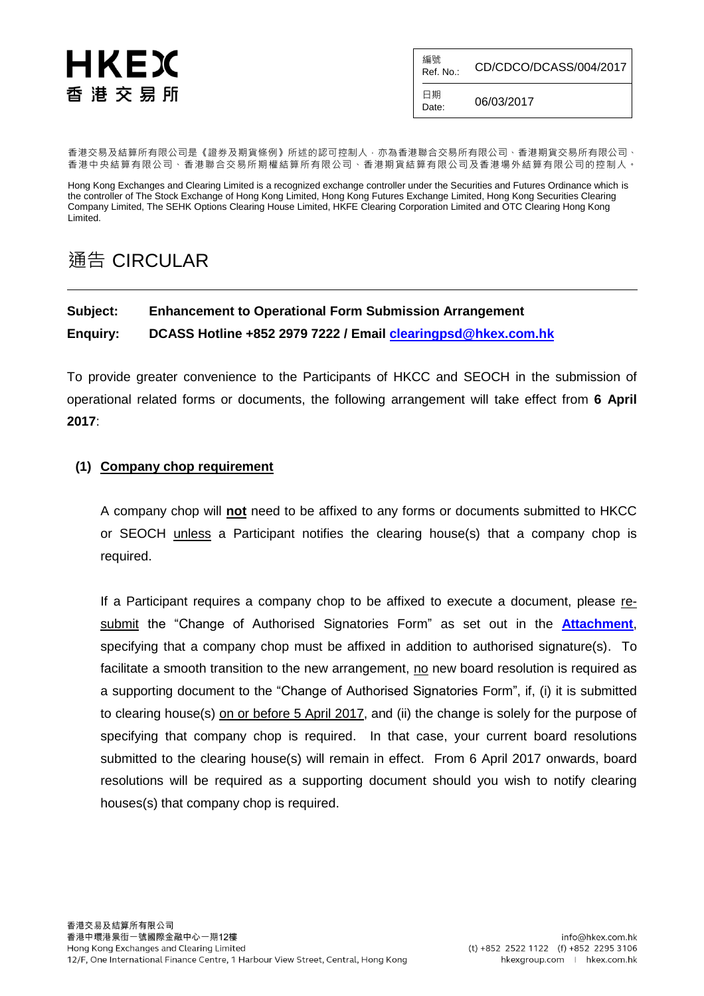# HKEX 香 港 交 易 所

編號<br>Ref. No.: CD/CDCO/DCASS/004/2017 日期

 $D_{\text{date}}$  06/03/2017

香港交易及結算所有限公司是《證券及期貨條例》所述的認可控制人,亦為香港聯合交易所有限公司、香港期貨交易所有限公司、 香港中央結算有限公司、香港聯合交易所期權結算所有限公司、香港期貨結算有限公司及香港場外結算有限公司的控制人。

Hong Kong Exchanges and Clearing Limited is a recognized exchange controller under the Securities and Futures Ordinance which is the controller of The Stock Exchange of Hong Kong Limited, Hong Kong Futures Exchange Limited, Hong Kong Securities Clearing Company Limited, The SEHK Options Clearing House Limited, HKFE Clearing Corporation Limited and OTC Clearing Hong Kong Limited.

### 通告 CIRCULAR

## **Subject: Enhancement to Operational Form Submission Arrangement**

**Enquiry: DCASS Hotline +852 2979 7222 / Email [clearingpsd@hkex.com.hk](mailto:clearingpsd@hkex.com.hk)**

To provide greater convenience to the Participants of HKCC and SEOCH in the submission of operational related forms or documents, the following arrangement will take effect from **6 April 2017**:

#### **(1) Company chop requirement**

A company chop will **not** need to be affixed to any forms or documents submitted to HKCC or SEOCH unless a Participant notifies the clearing house(s) that a company chop is required.

If a Participant requires a company chop to be affixed to execute a document, please resubmit the "Change of Authorised Signatories Form" as set out in the **[Attachment](https://www.hkex.com.hk/eng/market/clr/secclr/forms_hkscc/Documents/ChgAuthSignaturesForm.pdf)**, specifying that a company chop must be affixed in addition to authorised signature(s). To facilitate a smooth transition to the new arrangement, no new board resolution is required as a supporting document to the "Change of Authorised Signatories Form", if, (i) it is submitted to clearing house(s) on or before 5 April 2017, and (ii) the change is solely for the purpose of specifying that company chop is required. In that case, your current board resolutions submitted to the clearing house(s) will remain in effect. From 6 April 2017 onwards, board resolutions will be required as a supporting document should you wish to notify clearing houses(s) that company chop is required.